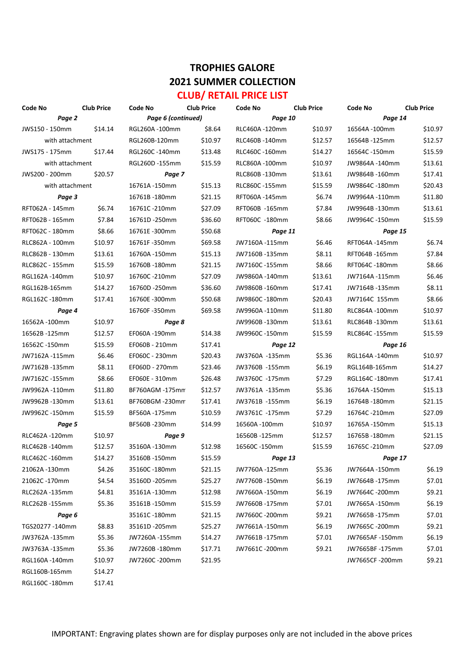### **TROPHIES GALORE 2021 SUMMER COLLECTION CLUB/ RETAIL PRICE LIST**

| Code No         | <b>Club Price</b> | Code No                   | <b>Club Price</b> | Code No        | <b>Club Price</b> | Code No         | <b>Club Price</b> |
|-----------------|-------------------|---------------------------|-------------------|----------------|-------------------|-----------------|-------------------|
| Page 2          |                   | Page 6 (continued)        |                   | Page 10        |                   | Page 14         |                   |
| JWS150 - 150mm  | \$14.14           | RGL260A-100mm             | \$8.64            | RLC460A-120mm  | \$10.97           | 16564A-100mm    | \$10.97           |
| with attachment |                   | RGL260B-120mm             | \$10.97           | RLC460B-140mm  | \$12.57           | 16564B-125mm    | \$12.57           |
| JWS175 - 175mm  | \$17.44           | RGL260C-140mm             | \$13.48           | RLC460C -160mm | \$14.27           | 16564C-150mm    | \$15.59           |
| with attachment |                   | RGL260D -155mm            | \$15.59           | RLC860A-100mm  | \$10.97           | JW9864A-140mm   | \$13.61           |
| JWS200 - 200mm  | \$20.57           | Page 7                    |                   | RLC860B-130mm  | \$13.61           | JW9864B-160mm   | \$17.41           |
| with attachment |                   | 16761A-150mm              | \$15.13           | RLC860C -155mm | \$15.59           | JW9864C-180mm   | \$20.43           |
| Page 3          |                   | 16761B-180mm              | \$21.15           | RFT060A-145mm  | \$6.74            | JW9964A-110mm   | \$11.80           |
| RFT062A - 145mm | \$6.74            | 16761C-210mm              | \$27.09           | RFT060B -165mm | \$7.84            | JW9964B-130mm   | \$13.61           |
| RFT062B - 165mm | \$7.84            | 16761D-250mm              | \$36.60           | RFT060C -180mm | \$8.66            | JW9964C-150mm   | \$15.59           |
| RFT062C - 180mm | \$8.66            | 16761E-300mm              | \$50.68           | Page 11        |                   | Page 15         |                   |
| RLC862A - 100mm | \$10.97           | 16761F-350mm              | \$69.58           | JW7160A-115mm  | \$6.46            | RFT064A-145mm   | \$6.74            |
| RLC862B - 130mm | \$13.61           | 16760A-150mm              | \$15.13           | JW7160B-135mm  | \$8.11            | RFT064B-165mm   | \$7.84            |
| RLC862C - 155mm | \$15.59           | 16760B-180mm              | \$21.15           | JW7160C -155mm | \$8.66            | RFT064C-180mm   | \$8.66            |
| RGL162A-140mm   | \$10.97           | 16760C-210mm              | \$27.09           | JW9860A-140mm  | \$13.61           | JW7164A-115mm   | \$6.46            |
| RGL162B-165mm   | \$14.27           | 16760D-250mm              | \$36.60           | JW9860B-160mm  | \$17.41           | JW7164B-135mm   | \$8.11            |
| RGL162C-180mm   | \$17.41           | 16760E-300mm              | \$50.68           | JW9860C-180mm  | \$20.43           | JW7164C 155mm   | \$8.66            |
| Page 4          |                   | 16760F-350mm              | \$69.58           | JW9960A -110mm | \$11.80           | RLC864A-100mm   | \$10.97           |
| 16562A -100mm   | \$10.97           | Page 8                    |                   | JW9960B-130mm  | \$13.61           | RLC864B-130mm   | \$13.61           |
| 16562B-125mm    | \$12.57           | EF060A-190mm              | \$14.38           | JW9960C-150mm  | \$15.59           | RLC864C-155mm   | \$15.59           |
| 16562C-150mm    | \$15.59           | \$17.41<br>EF060B - 210mm |                   | Page 12        |                   | Page 16         |                   |
| JW7162A-115mm   | \$6.46            | EF060C - 230mm            | \$20.43           | JW3760A -135mm | \$5.36            | RGL164A-140mm   | \$10.97           |
| JW7162B-135mm   | \$8.11            | EF060D - 270mm            | \$23.46           | JW3760B -155mm | \$6.19            | RGL164B-165mm   | \$14.27           |
| JW7162C-155mm   | \$8.66            | EF060E - 310mm            | \$26.48           | JW3760C -175mm | \$7.29            | RGL164C-180mm   | \$17.41           |
| JW9962A-110mm   | \$11.80           | BF760AGM -175mm           | \$12.57           | JW3761A -135mm | \$5.36            | 16764A -150mm   | \$15.13           |
| JW9962B-130mm   | \$13.61           | BF760BGM-230mm            | \$17.41           | JW3761B -155mm | \$6.19            | 16764B-180mm    | \$21.15           |
| JW9962C-150mm   | \$15.59           | BF560A-175mm              | \$10.59           | JW3761C -175mm | \$7.29            | 16764C-210mm    | \$27.09           |
| Page 5          |                   | BF560B-230mm              | \$14.99           | 16560A-100mm   | \$10.97           | 16765A-150mm    | \$15.13           |
| RLC462A-120mm   | \$10.97           | Page 9                    |                   | 16560B-125mm   | \$12.57           | 16765B-180mm    | \$21.15           |
| RLC462B-140mm   | \$12.57           | 35160A-130mm              | \$12.98           | 16560C-150mm   | \$15.59           | 16765C-210mm    | \$27.09           |
| RLC462C-160mm   | \$14.27           | 35160B-150mm              | \$15.59           | Page 13        |                   | Page 17         |                   |
| 21062A-130mm    | \$4.26            | 35160C-180mm              | \$21.15           | JW7760A-125mm  | \$5.36            | JW7664A-150mm   | \$6.19            |
| 21062C-170mm    | \$4.54            | 35160D-205mm              | \$25.27           | JW7760B-150mm  | \$6.19            | JW7664B-175mm   | \$7.01            |
| RLC262A-135mm   | \$4.81            | 35161A-130mm              | \$12.98           | JW7660A -150mm | \$6.19            | JW7664C-200mm   | \$9.21            |
| RLC262B-155mm   | \$5.36            | 35161B-150mm              | \$15.59           | JW7660B-175mm  | \$7.01            | JW7665A -150mm  | \$6.19            |
| Page 6          |                   | 35161C-180mm              | \$21.15           | JW7660C-200mm  | \$9.21            | JW7665B-175mm   | \$7.01            |
| TGS20277-140mm  | \$8.83            | 35161D-205mm              | \$25.27           | JW7661A-150mm  | \$6.19            | JW7665C-200mm   | \$9.21            |
| JW3762A-135mm   | \$5.36            | JW7260A-155mm             | \$14.27           | JW7661B-175mm  | \$7.01            | JW7665AF-150mm  | \$6.19            |
| JW3763A -135mm  | \$5.36            | JW7260B-180mm             | \$17.71           | JW7661C-200mm  | \$9.21            | JW7665BF -175mm | \$7.01            |
| RGL160A-140mm   | \$10.97           | JW7260C-200mm             | \$21.95           |                |                   | JW7665CF-200mm  | \$9.21            |
| RGL160B-165mm   | \$14.27           |                           |                   |                |                   |                 |                   |
| RGL160C -180mm  | \$17.41           |                           |                   |                |                   |                 |                   |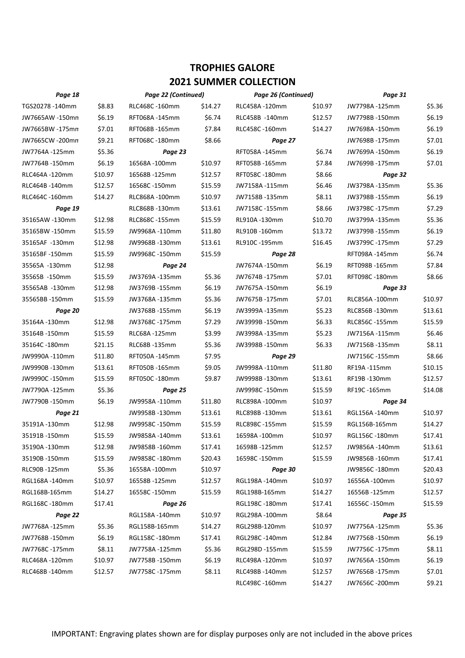| Page 18         |         | Page 22 (Continued) |         | Page 26 (Continued) |         | Page 31        |         |
|-----------------|---------|---------------------|---------|---------------------|---------|----------------|---------|
| TGS20278-140mm  | \$8.83  | RLC468C-160mm       | \$14.27 | RLC458A-120mm       | \$10.97 | JW7798A-125mm  | \$5.36  |
| JW7665AW -150mn | \$6.19  | RFT068A-145mm       | \$6.74  | RLC458B -140mm      | \$12.57 | JW7798B-150mm  | \$6.19  |
| JW7665BW -175mn | \$7.01  | RFT068B-165mm       | \$7.84  | RLC458C-160mm       | \$14.27 | JW7698A-150mm  | \$6.19  |
| JW7665CW -200mn | \$9.21  | RFT068C-180mm       | \$8.66  |                     |         | JW7698B-175mm  | \$7.01  |
| JW7764A -125mm  | \$5.36  | Page 23             |         | RFT058A-145mm       | \$6.74  | JW7699A-150mm  | \$6.19  |
| JW7764B-150mm   | \$6.19  | 16568A-100mm        | \$10.97 | RFT058B-165mm       | \$7.84  | JW7699B-175mm  | \$7.01  |
| RLC464A -120mm  | \$10.97 | 16568B-125mm        | \$12.57 | RFT058C-180mm       | \$8.66  | Page 32        |         |
| RLC464B-140mm   | \$12.57 | 16568C-150mm        | \$15.59 | JW7158A-115mm       | \$6.46  | JW3798A-135mm  | \$5.36  |
| RLC464C -160mm  | \$14.27 | RLC868A-100mm       | \$10.97 | JW7158B-135mm       | \$8.11  | JW3798B-155mm  | \$6.19  |
| Page 19         |         | RLC868B-130mm       | \$13.61 | JW7158C-155mm       | \$8.66  | JW3798C-175mm  | \$7.29  |
| 35165AW -130mm  | \$12.98 | RLC868C -155mm      | \$15.59 | RL910A-130mm        | \$10.70 | JW3799A-135mm  | \$5.36  |
| 35165BW-150mm   | \$15.59 | JW9968A-110mm       | \$11.80 | RL910B-160mm        | \$13.72 | JW3799B-155mm  | \$6.19  |
| 35165AF -130mm  | \$12.98 | JW9968B-130mm       | \$13.61 | RL910C-195mm        | \$16.45 | JW3799C-175mm  | \$7.29  |
| 35165BF-150mm   | \$15.59 | JW9968C-150mm       | \$15.59 | Page 28             |         | RFT098A-145mm  | \$6.74  |
| 35565A -130mm   | \$12.98 | Page 24             |         | JW7674A-150mm       | \$6.19  | RFT098B-165mm  | \$7.84  |
| 35565B -150mm   | \$15.59 | JW3769A-135mm       | \$5.36  | JW7674B-175mm       | \$7.01  | RFT098C-180mm  | \$8.66  |
| 35565AB -130mm  | \$12.98 | JW3769B-155mm       | \$6.19  | JW7675A-150mm       | \$6.19  | Page 33        |         |
| 35565BB-150mm   | \$15.59 | JW3768A-135mm       | \$5.36  | JW7675B-175mm       | \$7.01  | RLC856A-100mm  | \$10.97 |
| Page 20         |         | JW3768B-155mm       | \$6.19  | JW3999A-135mm       | \$5.23  | RLC856B-130mm  | \$13.61 |
| 35164A-130mm    | \$12.98 | JW3768C-175mm       | \$7.29  | JW3999B-150mm       | \$6.33  | RLC856C-155mm  | \$15.59 |
| 35164B-150mm    | \$15.59 | RLC68A-125mm        | \$3.99  | JW3998A-135mm       | \$5.23  | JW7156A-115mm  | \$6.46  |
| 35164C-180mm    | \$21.15 | RLC68B -135mm       | \$5.36  | JW3998B-150mm       | \$6.33  | JW7156B-135mm  | \$8.11  |
| JW9990A-110mm   | \$11.80 | RFT050A-145mm       | \$7.95  | Page 29             |         | JW7156C -155mm | \$8.66  |
| JW9990B-130mm   | \$13.61 | RFT050B-165mm       | \$9.05  | JW9998A-110mm       | \$11.80 | RF19A-115mm    | \$10.15 |
| JW9990C-150mm   | \$15.59 | RFT050C-180mm       | \$9.87  | JW9998B-130mm       | \$13.61 | RF19B-130mm    | \$12.57 |
| JW7790A -125mm  | \$5.36  | Page 25             |         | JW9998C-150mm       | \$15.59 | RF19C -165mm   | \$14.08 |
| JW7790B-150mm   | \$6.19  | JW9958A-110mm       | \$11.80 | RLC898A-100mm       | \$10.97 | Page 34        |         |
| Page 21         |         | JW9958B-130mm       | \$13.61 | RLC898B-130mm       | \$13.61 | RGL156A-140mm  | \$10.97 |
| 35191A-130mm    | \$12.98 | JW9958C-150mm       | \$15.59 | RLC898C-155mm       | \$15.59 | RGL156B-165mm  | \$14.27 |
| 35191B-150mm    | \$15.59 | JW9858A-140mm       | \$13.61 | 16598A-100mm        | \$10.97 | RGL156C-180mm  | \$17.41 |
| 35190A-130mm    | \$12.98 | JW9858B-160mm       | \$17.41 | 16598B-125mm        | \$12.57 | JW9856A -140mm | \$13.61 |
| 35190B-150mm    | \$15.59 | JW9858C-180mm       | \$20.43 | 16598C-150mm        | \$15.59 | JW9856B-160mm  | \$17.41 |
| RLC90B-125mm    | \$5.36  | 16558A-100mm        | \$10.97 | Page 30             |         | JW9856C-180mm  | \$20.43 |
| RGL168A-140mm   | \$10.97 | 16558B-125mm        | \$12.57 | RGL198A-140mm       | \$10.97 | 16556A-100mm   | \$10.97 |
| RGL168B-165mm   | \$14.27 | 16558C-150mm        | \$15.59 | RGL198B-165mm       | \$14.27 | 16556B-125mm   | \$12.57 |
| RGL168C-180mm   | \$17.41 | Page 26             |         | RGL198C-180mm       | \$17.41 | 16556C-150mm   | \$15.59 |
| Page 22         |         | RGL158A -140mm      | \$10.97 | RGL298A-100mm       | \$8.64  | Page 35        |         |
| JW7768A-125mm   | \$5.36  | RGL158B-165mm       | \$14.27 | RGL298B-120mm       | \$10.97 | JW7756A-125mm  | \$5.36  |
| JW7768B-150mm   | \$6.19  | RGL158C-180mm       | \$17.41 | RGL298C-140mm       | \$12.84 | JW7756B-150mm  | \$6.19  |
| JW7768C-175mm   | \$8.11  | JW7758A-125mm       | \$5.36  | RGL298D -155mm      | \$15.59 | JW7756C -175mm | \$8.11  |
| RLC468A -120mm  | \$10.97 | JW7758B-150mm       | \$6.19  | RLC498A-120mm       | \$10.97 | JW7656A-150mm  | \$6.19  |
| RLC468B-140mm   | \$12.57 | JW7758C-175mm       | \$8.11  | RLC498B-140mm       | \$12.57 | JW7656B-175mm  | \$7.01  |
|                 |         |                     |         | RLC498C-160mm       | \$14.27 | JW7656C-200mm  | \$9.21  |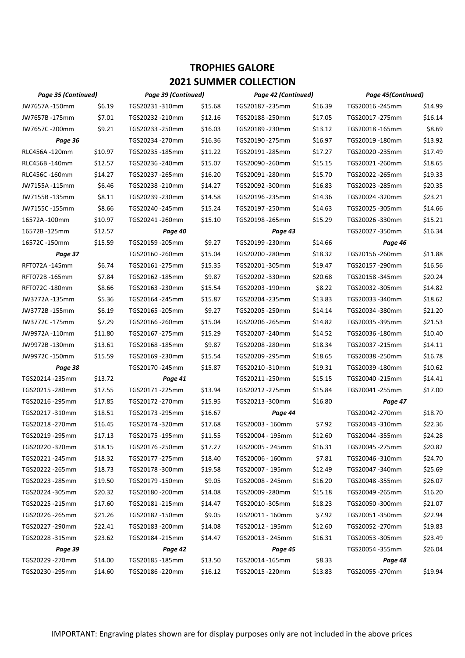| Page 35 (Continued) |         | Page 39 (Continued) |         | Page 42 (Continued) |         | Page 45(Continued)         |         |
|---------------------|---------|---------------------|---------|---------------------|---------|----------------------------|---------|
| JW7657A-150mm       | \$6.19  | TGS20231-310mm      | \$15.68 | TGS20187 -235mm     | \$16.39 | TGS20016-245mm             | \$14.99 |
| JW7657B-175mm       | \$7.01  | TGS20232-210mm      | \$12.16 | TGS20188-250mm      | \$17.05 | TGS20017 - 275mm           | \$16.14 |
| JW7657C-200mm       | \$9.21  | TGS20233-250mm      | \$16.03 | TGS20189 -230mm     | \$13.12 | TGS20018-165mm             | \$8.69  |
| Page 36             |         | TGS20234 -270mm     | \$16.36 | TGS20190 -275mm     | \$16.97 | TGS20019 -180mm            | \$13.92 |
| RLC456A -120mm      | \$10.97 | TGS20235-185mm      | \$11.22 | TGS20191-285mm      | \$17.27 | TGS20020-235mm             | \$17.49 |
| RLC456B-140mm       | \$12.57 | TGS20236-240mm      | \$15.07 | TGS20090 -260mm     | \$15.15 | TGS20021-260mm             | \$18.65 |
| RLC456C -160mm      | \$14.27 | TGS20237 -265mm     | \$16.20 | TGS20091-280mm      | \$15.70 | TGS20022 - 265mm           | \$19.33 |
| JW7155A-115mm       | \$6.46  | TGS20238-210mm      | \$14.27 | TGS20092 -300mm     | \$16.83 | TGS20023 -285mm            | \$20.35 |
| JW7155B-135mm       | \$8.11  | TGS20239-230mm      | \$14.58 | TGS20196 -235mm     | \$14.36 | TGS20024 -320mm            | \$23.21 |
| JW7155C-155mm       | \$8.66  | TGS20240-245mm      | \$15.24 | TGS20197 -250mm     | \$14.63 | TGS20025 -305mm            | \$14.66 |
| 16572A-100mm        | \$10.97 | TGS20241-260mm      | \$15.10 | TGS20198 -265mm     | \$15.29 | TGS20026 -330mm            | \$15.21 |
| 16572B-125mm        | \$12.57 | Page 40             |         | Page 43             |         | TGS20027 -350mm<br>\$16.34 |         |
| 16572C-150mm        | \$15.59 | TGS20159-205mm      | \$9.27  | TGS20199 -230mm     | \$14.66 | Page 46                    |         |
| Page 37             |         | TGS20160-260mm      | \$15.04 | TGS20200 -280mm     | \$18.32 | TGS20156 - 260mm           | \$11.88 |
| RFT072A-145mm       | \$6.74  | TGS20161-275mm      | \$15.35 | TGS20201-305mm      | \$19.47 | TGS20157 -290mm            | \$16.56 |
| RFT072B-165mm       | \$7.84  | TGS20162 -185mm     | \$9.87  | TGS20202 -330mm     | \$20.68 | TGS20158 -345mm            | \$20.24 |
| RFT072C-180mm       | \$8.66  | TGS20163 - 230mm    | \$15.54 | TGS20203 -190mm     | \$8.22  | TGS20032 -305mm            | \$14.82 |
| JW3772A-135mm       | \$5.36  | TGS20164 -245mm     | \$15.87 | TGS20204 -235mm     | \$13.83 | TGS20033 -340mm            | \$18.62 |
| JW3772B-155mm       | \$6.19  | TGS20165 - 205mm    | \$9.27  | TGS20205 -250mm     | \$14.14 | TGS20034 -380mm            | \$21.20 |
| JW3772C-175mm       | \$7.29  | TGS20166 -260mm     | \$15.04 | TGS20206 -265mm     | \$14.82 | TGS20035 -395mm            | \$21.53 |
| JW9972A-110mm       | \$11.80 | TGS20167 -275mm     | \$15.29 | TGS20207 -240mm     | \$14.52 | TGS20036 -180mm            | \$10.40 |
| JW9972B-130mm       | \$13.61 | TGS20168-185mm      | \$9.87  | TGS20208 -280mm     | \$18.34 | TGS20037 -215mm            | \$14.11 |
| JW9972C-150mm       | \$15.59 | TGS20169-230mm      | \$15.54 | TGS20209 -295mm     | \$18.65 | TGS20038-250mm             | \$16.78 |
| Page 38             |         | TGS20170-245mm      | \$15.87 | TGS20210-310mm      | \$19.31 | TGS20039-180mm             | \$10.62 |
| TGS20214 -235mm     | \$13.72 | Page 41             |         | TGS20211-250mm      | \$15.15 | TGS20040 -215mm            | \$14.41 |
| TGS20215 -280mm     | \$17.55 | TGS20171-225mm      | \$13.94 | TGS20212 -275mm     | \$15.84 | TGS20041-255mm             | \$17.00 |
| TGS20216 -295mm     | \$17.85 | TGS20172 -270mm     | \$15.95 | TGS20213 -300mm     | \$16.80 | Page 47                    |         |
| TGS20217-310mm      | \$18.51 | TGS20173-295mm      | \$16.67 | Page 44             |         | TGS20042 -270mm            | \$18.70 |
| TGS20218-270mm      | \$16.45 | TGS20174-320mm      | \$17.68 | TGS20003 - 160mm    | \$7.92  | TGS20043 -310mm            | \$22.36 |
| TGS20219 -295mm     | \$17.13 | TGS20175 -195mm     | \$11.55 | TGS20004 - 195mm    | \$12.60 | TGS20044 -355mm            | \$24.28 |
| TGS20220-320mm      | \$18.15 | TGS20176-250mm      | \$17.27 | TGS20005 - 245mm    | \$16.31 | TGS20045 -275mm            | \$20.82 |
| TGS20221-245mm      | \$18.32 | TGS20177 -275mm     | \$18.40 | TGS20006 - 160mm    | \$7.81  | TGS20046 -310mm            | \$24.70 |
| TGS20222 - 265mm    | \$18.73 | TGS20178-300mm      | \$19.58 | TGS20007 - 195mm    | \$12.49 | TGS20047 -340mm            | \$25.69 |
| TGS20223-285mm      | \$19.50 | TGS20179 -150mm     | \$9.05  | TGS20008 - 245mm    | \$16.20 | TGS20048 -355mm            | \$26.07 |
| TGS20224-305mm      | \$20.32 | TGS20180-200mm      | \$14.08 | TGS20009 - 280mm    | \$15.18 | TGS20049 - 265mm           | \$16.20 |
| TGS20225 -215mm     | \$17.60 | TGS20181-215mm      | \$14.47 | TGS20010 -305mm     | \$18.23 | TGS20050-300mm             | \$21.07 |
| TGS20226-265mm      | \$21.26 | TGS20182 -150mm     | \$9.05  | TGS20011 - 160mm    | \$7.92  | TGS20051-350mm             | \$22.94 |
| TGS20227-290mm      | \$22.41 | TGS20183-200mm      | \$14.08 | TGS20012 - 195mm    | \$12.60 | TGS20052 - 270mm           | \$19.83 |
| TGS20228 -315mm     | \$23.62 | TGS20184 -215mm     | \$14.47 | TGS20013 - 245mm    | \$16.31 | TGS20053 -305mm            | \$23.49 |
| Page 39             |         | Page 42             |         | Page 45             |         | TGS20054 -355mm            | \$26.04 |
| TGS20229-270mm      | \$14.00 | TGS20185-185mm      | \$13.50 | TGS20014 -165mm     | \$8.33  | Page 48                    |         |
| TGS20230-295mm      | \$14.60 | TGS20186-220mm      | \$16.12 | TGS20015 -220mm     | \$13.83 | TGS20055-270mm             | \$19.94 |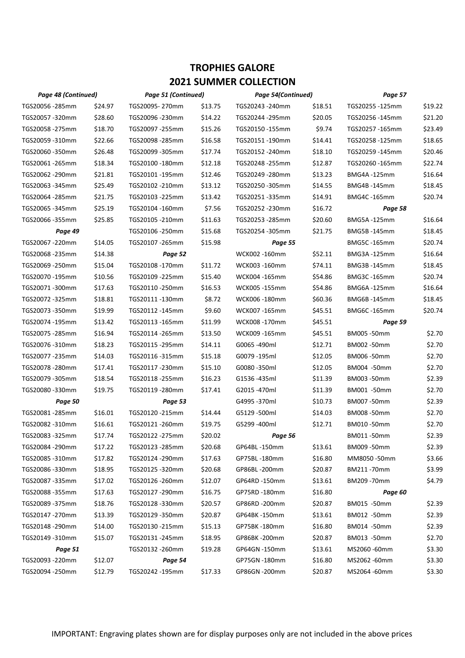| Page 48 (Continued) |         | Page 51 (Continued) |         | <b>Page 54(Continued)</b> |         | Page 57            |         |
|---------------------|---------|---------------------|---------|---------------------------|---------|--------------------|---------|
| TGS20056-285mm      | \$24.97 | TGS20095-270mm      | \$13.75 | TGS20243 -240mm           | \$18.51 | TGS20255-125mm     | \$19.22 |
| TGS20057-320mm      | \$28.60 | TGS20096-230mm      | \$14.22 | TGS20244 -295mm           | \$20.05 | TGS20256-145mm     | \$21.20 |
| TGS20058 -275mm     | \$18.70 | TGS20097-255mm      | \$15.26 | TGS20150-155mm            | \$9.74  | TGS20257-165mm     | \$23.49 |
| TGS20059-310mm      | \$22.66 | TGS20098-285mm      | \$16.58 | TGS20151-190mm            | \$14.41 | TGS20258-125mm     | \$18.65 |
| TGS20060 -350mm     | \$26.48 | TGS20099-305mm      | \$17.74 | TGS20152 - 240mm          | \$18.10 | TGS20259-145mm     | \$20.46 |
| TGS20061-265mm      | \$18.34 | TGS20100-180mm      | \$12.18 | TGS20248-255mm            | \$12.87 | TGS20260-165mm     | \$22.74 |
| TGS20062 -290mm     | \$21.81 | TGS20101-195mm      | \$12.46 | TGS20249 -280mm           | \$13.23 | <b>BMG4A-125mm</b> | \$16.64 |
| TGS20063 -345mm     | \$25.49 | TGS20102 -210mm     | \$13.12 | TGS20250-305mm            | \$14.55 | BMG4B-145mm        | \$18.45 |
| TGS20064 - 285mm    | \$21.75 | TGS20103 -225mm     | \$13.42 | TGS20251-335mm            | \$14.91 | BMG4C-165mm        | \$20.74 |
| TGS20065 -345mm     | \$25.19 | TGS20104 -160mm     | \$7.56  | TGS20252 -230mm           | \$16.72 | Page 58            |         |
| TGS20066-355mm      | \$25.85 | TGS20105 -210mm     | \$11.63 | TGS20253 -285mm           | \$20.60 | <b>BMG5A-125mm</b> | \$16.64 |
| Page 49             |         | TGS20106 -250mm     | \$15.68 | TGS20254 -305mm           | \$21.75 | BMG5B-145mm        | \$18.45 |
| TGS20067-220mm      | \$14.05 | TGS20107 - 265mm    | \$15.98 | Page 55                   |         | BMG5C-165mm        | \$20.74 |
| TGS20068 -235mm     | \$14.38 | Page 52             |         | WCK002-160mm              | \$52.11 | BMG3A-125mm        | \$16.64 |
| TGS20069-250mm      | \$15.04 | TGS20108-170mm      | \$11.72 | WCK003-160mm              | \$74.11 | BMG3B-145mm        | \$18.45 |
| TGS20070-195mm      | \$10.56 | TGS20109 -225mm     | \$15.40 | WCK004-165mm              | \$54.86 | BMG3C-165mm        | \$20.74 |
| TGS20071-300mm      | \$17.63 | TGS20110-250mm      | \$16.53 | WCK005 -155mm             | \$54.86 | <b>BMG6A-125mm</b> | \$16.64 |
| TGS20072 -325mm     | \$18.81 | TGS20111-130mm      | \$8.72  | WCK006-180mm              | \$60.36 | <b>BMG6B-145mm</b> | \$18.45 |
| TGS20073 -350mm     | \$19.99 | TGS20112-145mm      | \$9.60  | WCK007-165mm              | \$45.51 | BMG6C-165mm        | \$20.74 |
| TGS20074-195mm      | \$13.42 | TGS20113-165mm      | \$11.99 | WCK008-170mm              | \$45.51 | Page 59            |         |
| TGS20075 -285mm     | \$16.94 | TGS20114 - 265mm    | \$13.50 | WCK009-165mm              | \$45.51 | BM005-50mm         | \$2.70  |
| TGS20076-310mm      | \$18.23 | TGS20115-295mm      | \$14.11 | G0065 -490ml              | \$12.71 | BM002 -50mm        | \$2.70  |
| TGS20077 -235mm     | \$14.03 | TGS20116-315mm      | \$15.18 | G0079 -195ml              | \$12.05 | BM006-50mm         | \$2.70  |
| TGS20078-280mm      | \$17.41 | TGS20117-230mm      | \$15.10 | G0080-350ml               | \$12.05 | BM004 -50mm        | \$2.70  |
| TGS20079-305mm      | \$18.54 | TGS20118-255mm      | \$16.23 | G1536-435ml               | \$11.39 | BM003-50mm         | \$2.39  |
| TGS20080-330mm      | \$19.75 | TGS20119 -280mm     | \$17.41 | G2015-470ml               | \$11.39 | BM001 -50mm        | \$2.70  |
| Page 50             |         | Page 53             |         | G4995-370ml               | \$10.73 | BM007 -50mm        | \$2.39  |
| TGS20081-285mm      | \$16.01 | TGS20120-215mm      | \$14.44 | G5129 -500ml              | \$14.03 | BM008-50mm         | \$2.70  |
| TGS20082-310mm      | \$16.61 | TGS20121-260mm      | \$19.75 | G5299-400ml               | \$12.71 | BM010-50mm         | \$2.70  |
| TGS20083-325mm      | \$17.74 | TGS20122 - 275mm    | \$20.02 | Page 56                   |         | BM011-50mm         | \$2.39  |
| TGS20084-290mm      | \$17.22 | TGS20123 - 285mm    | \$20.68 | GP64BL-150mm              | \$13.61 | BM009 -50mm        | \$2.39  |
| TGS20085-310mm      | \$17.82 | TGS20124-290mm      | \$17.63 | GP75BL-180mm              | \$16.80 | MM8050-50mm        | \$3.66  |
| TGS20086-330mm      | \$18.95 | TGS20125 -320mm     | \$20.68 | GP86BL-200mm              | \$20.87 | BM211-70mm         | \$3.99  |
| TGS20087-335mm      | \$17.02 | TGS20126-260mm      | \$12.07 | GP64RD-150mm              | \$13.61 | BM209 -70mm        | \$4.79  |
| TGS20088-355mm      | \$17.63 | TGS20127-290mm      | \$16.75 | GP75RD-180mm              | \$16.80 | Page 60            |         |
| TGS20089-375mm      | \$18.76 | TGS20128-330mm      | \$20.57 | GP86RD-200mm              | \$20.87 | BM015 -50mm        | \$2.39  |
| TGS20147-270mm      | \$13.39 | TGS20129-350mm      | \$20.87 | GP64BK-150mm              | \$13.61 | BM012 -50mm        | \$2.39  |
| TGS20148 -290mm     | \$14.00 | TGS20130-215mm      | \$15.13 | GP75BK-180mm              | \$16.80 | BM014 -50mm        | \$2.39  |
| TGS20149-310mm      | \$15.07 | TGS20131-245mm      | \$18.95 | GP86BK-200mm              | \$20.87 | BM013 -50mm        | \$2.70  |
| Page 51             |         | TGS20132 - 260mm    | \$19.28 | GP64GN-150mm              | \$13.61 | MS2060-60mm        | \$3.30  |
| TGS20093-220mm      | \$12.07 | Page 54             |         | GP75GN -180mm             | \$16.80 | MS2062-60mm        | \$3.30  |
| TGS20094-250mm      | \$12.79 | TGS20242 -195mm     | \$17.33 | GP86GN-200mm              | \$20.87 | MS2064-60mm        | \$3.30  |